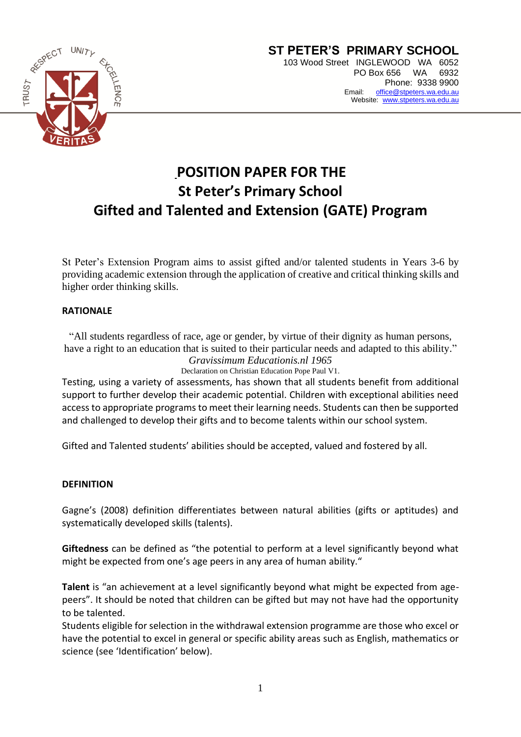

# **POSITION PAPER FOR THE St Peter's Primary School Gifted and Talented and Extension (GATE) Program**

St Peter's Extension Program aims to assist gifted and/or talented students in Years 3-6 by providing academic extension through the application of creative and critical thinking skills and higher order thinking skills.

## **RATIONALE**

"All students regardless of race, age or gender, by virtue of their dignity as human persons, have a right to an education that is suited to their particular needs and adapted to this ability."

*Gravissimum Educationis.nl 1965* Declaration on Christian Education Pope Paul V1.

Testing, using a variety of assessments, has shown that all students benefit from additional support to further develop their academic potential. Children with exceptional abilities need access to appropriate programs to meet their learning needs. Students can then be supported and challenged to develop their gifts and to become talents within our school system.

Gifted and Talented students' abilities should be accepted, valued and fostered by all.

#### **DEFINITION**

Gagne's (2008) definition differentiates between natural abilities (gifts or aptitudes) and systematically developed skills (talents).

**Giftedness** can be defined as "the potential to perform at a level significantly beyond what might be expected from one's age peers in any area of human ability."

**Talent** is "an achievement at a level significantly beyond what might be expected from agepeers". It should be noted that children can be gifted but may not have had the opportunity to be talented.

Students eligible for selection in the withdrawal extension programme are those who excel or have the potential to excel in general or specific ability areas such as English, mathematics or science (see 'Identification' below).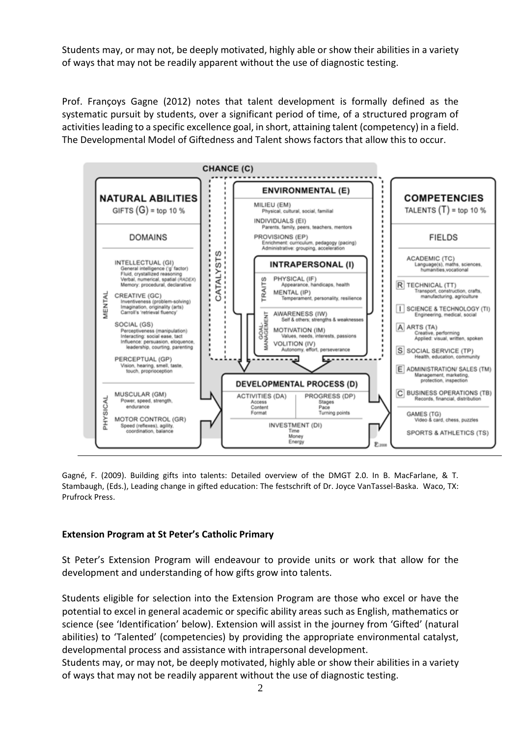Students may, or may not, be deeply motivated, highly able or show their abilities in a variety of ways that may not be readily apparent without the use of diagnostic testing.

Prof. Françoys Gagne (2012) notes that talent development is formally defined as the systematic pursuit by students, over a significant period of time, of a structured program of activities leading to a specific excellence goal, in short, attaining talent (competency) in a field. The Developmental Model of Giftedness and Talent shows factors that allow this to occur.



Gagné, F. (2009). Building gifts into talents: Detailed overview of the DMGT 2.0. In B. MacFarlane, & T. Stambaugh, (Eds.), Leading change in gifted education: The festschrift of Dr. Joyce VanTassel-Baska. Waco, TX: Prufrock Press.

## **Extension Program at St Peter's Catholic Primary**

St Peter's Extension Program will endeavour to provide units or work that allow for the development and understanding of how gifts grow into talents.

Students eligible for selection into the Extension Program are those who excel or have the potential to excel in general academic or specific ability areas such as English, mathematics or science (see 'Identification' below). Extension will assist in the journey from 'Gifted' (natural abilities) to 'Talented' (competencies) by providing the appropriate environmental catalyst, developmental process and assistance with intrapersonal development.

Students may, or may not, be deeply motivated, highly able or show their abilities in a variety of ways that may not be readily apparent without the use of diagnostic testing.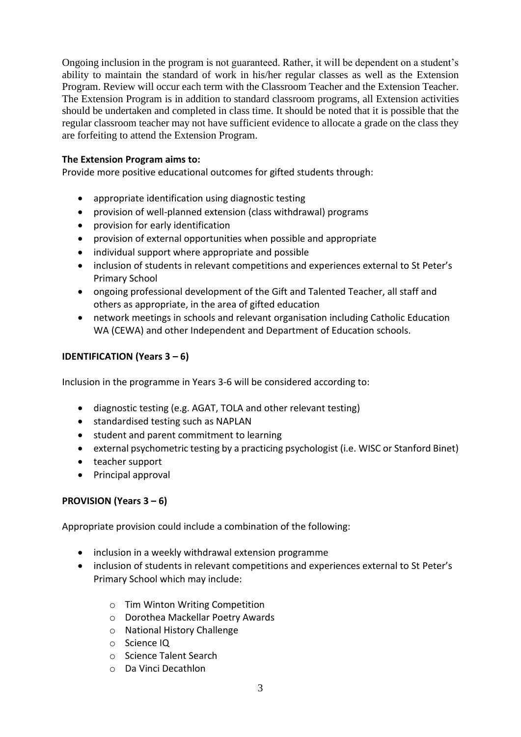Ongoing inclusion in the program is not guaranteed. Rather, it will be dependent on a student's ability to maintain the standard of work in his/her regular classes as well as the Extension Program. Review will occur each term with the Classroom Teacher and the Extension Teacher. The Extension Program is in addition to standard classroom programs, all Extension activities should be undertaken and completed in class time. It should be noted that it is possible that the regular classroom teacher may not have sufficient evidence to allocate a grade on the class they are forfeiting to attend the Extension Program.

## **The Extension Program aims to:**

Provide more positive educational outcomes for gifted students through:

- appropriate identification using diagnostic testing
- provision of well-planned extension (class withdrawal) programs
- provision for early identification
- provision of external opportunities when possible and appropriate
- individual support where appropriate and possible
- inclusion of students in relevant competitions and experiences external to St Peter's Primary School
- ongoing professional development of the Gift and Talented Teacher, all staff and others as appropriate, in the area of gifted education
- network meetings in schools and relevant organisation including Catholic Education WA (CEWA) and other Independent and Department of Education schools.

## **IDENTIFICATION (Years 3 – 6)**

Inclusion in the programme in Years 3-6 will be considered according to:

- diagnostic testing (e.g. AGAT, TOLA and other relevant testing)
- standardised testing such as NAPLAN
- student and parent commitment to learning
- external psychometric testing by a practicing psychologist (i.e. WISC or Stanford Binet)
- teacher support
- Principal approval

## **PROVISION (Years 3 – 6)**

Appropriate provision could include a combination of the following:

- inclusion in a weekly withdrawal extension programme
- inclusion of students in relevant competitions and experiences external to St Peter's Primary School which may include:
	- o Tim Winton Writing Competition
	- o Dorothea Mackellar Poetry Awards
	- o National History Challenge
	- o Science IQ
	- o Science Talent Search
	- o Da Vinci Decathlon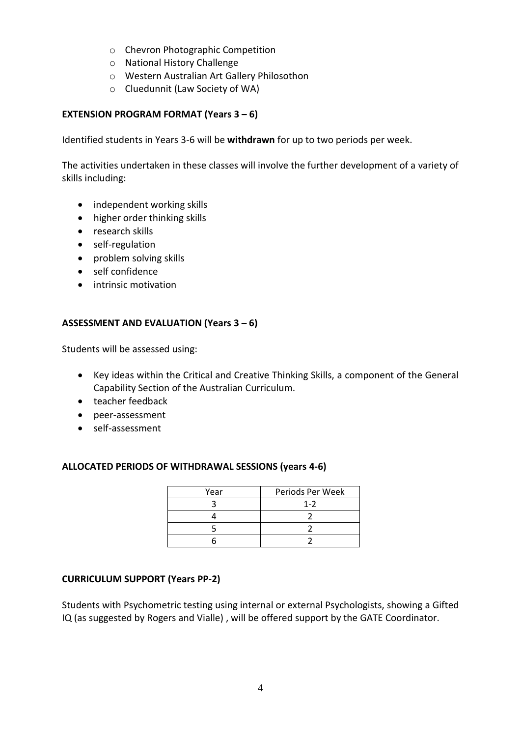- o Chevron Photographic Competition
- o National History Challenge
- o Western Australian Art Gallery Philosothon
- o Cluedunnit (Law Society of WA)

## **EXTENSION PROGRAM FORMAT (Years 3 – 6)**

Identified students in Years 3-6 will be **withdrawn** for up to two periods per week.

The activities undertaken in these classes will involve the further development of a variety of skills including:

- independent working skills
- higher order thinking skills
- research skills
- self-regulation
- problem solving skills
- self confidence
- intrinsic motivation

#### **ASSESSMENT AND EVALUATION (Years 3 – 6)**

Students will be assessed using:

- Key ideas within the Critical and Creative Thinking Skills, a component of the General Capability Section of the Australian Curriculum.
- teacher feedback
- peer-assessment
- self-assessment

#### **ALLOCATED PERIODS OF WITHDRAWAL SESSIONS (years 4-6)**

| Year | Periods Per Week |
|------|------------------|
|      | $1 - 2$          |
|      |                  |
|      |                  |
|      |                  |

#### **CURRICULUM SUPPORT (Years PP-2)**

Students with Psychometric testing using internal or external Psychologists, showing a Gifted IQ (as suggested by Rogers and Vialle) , will be offered support by the GATE Coordinator.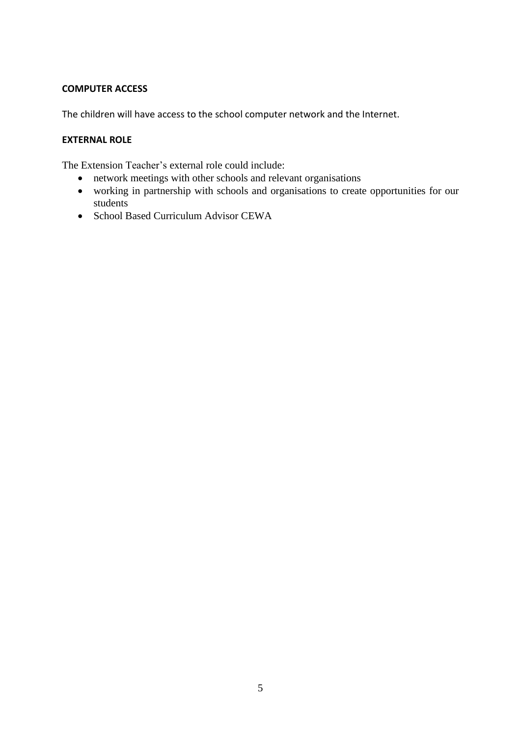## **COMPUTER ACCESS**

The children will have access to the school computer network and the Internet.

## **EXTERNAL ROLE**

The Extension Teacher's external role could include:

- network meetings with other schools and relevant organisations
- working in partnership with schools and organisations to create opportunities for our students
- School Based Curriculum Advisor CEWA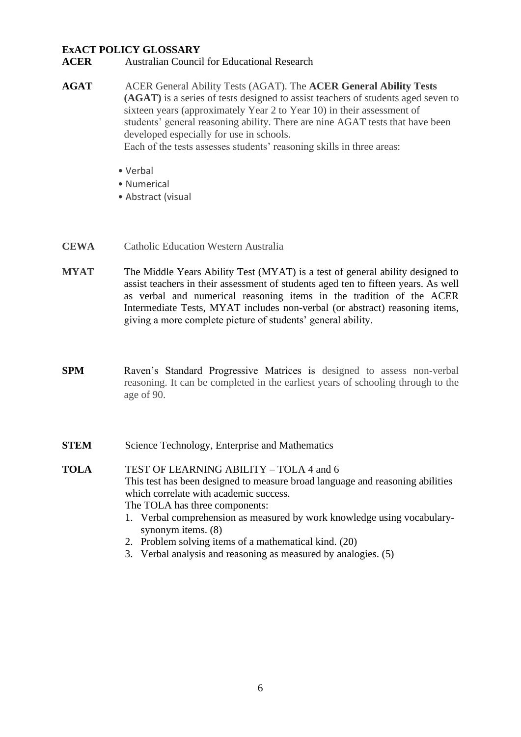#### **ExACT POLICY GLOSSARY**

- **ACER** Australian Council for Educational Research
- **AGAT** ACER General Ability Tests (AGAT). The **ACER General Ability Tests (AGAT)** is a series of tests designed to assist teachers of students aged seven to sixteen years (approximately Year 2 to Year 10) in their assessment of students' general reasoning ability. There are nine AGAT tests that have been developed especially for use in schools. Each of the tests assesses students' reasoning skills in three areas:
	- Verbal
	- Numerical
	- Abstract (visual
- **CEWA** Catholic Education Western Australia
- **MYAT** The Middle Years Ability Test (MYAT) is a test of general ability designed to assist teachers in their assessment of students aged ten to fifteen years. As well as verbal and numerical reasoning items in the tradition of the ACER Intermediate Tests, MYAT includes non-verbal (or abstract) reasoning items, giving a more complete picture of students' general ability.
- **SPM** Raven's Standard Progressive Matrices is designed to assess non-verbal reasoning. It can be completed in the earliest years of schooling through to the age of 90.
- **STEM** Science Technology, Enterprise and Mathematics
- **TOLA** TEST OF LEARNING ABILITY TOLA 4 and 6 This test has been designed to measure broad language and reasoning abilities which correlate with academic success. The TOLA has three components:
	- 1. Verbal comprehension as measured by work knowledge using vocabularysynonym items. (8)
	- 2. Problem solving items of a mathematical kind. (20)
	- 3. Verbal analysis and reasoning as measured by analogies. (5)